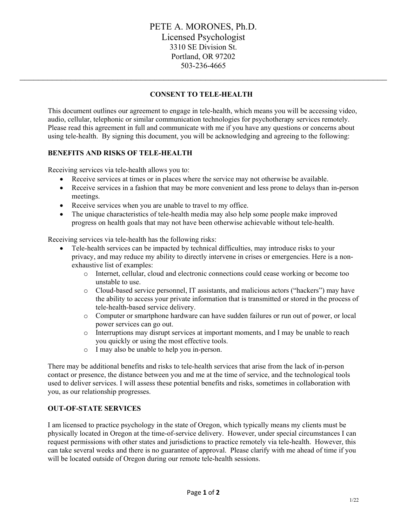# **CONSENT TO TELE-HEALTH**

 $\_$  , and the contribution of the contribution of the contribution of the contribution of the contribution of  $\sim$ 

This document outlines our agreement to engage in tele-health, which means you will be accessing video, audio, cellular, telephonic or similar communication technologies for psychotherapy services remotely. Please read this agreement in full and communicate with me if you have any questions or concerns about using tele-health. By signing this document, you will be acknowledging and agreeing to the following:

### **BENEFITS AND RISKS OF TELE-HEALTH**

Receiving services via tele-health allows you to:

- Receive services at times or in places where the service may not otherwise be available.
- Receive services in a fashion that may be more convenient and less prone to delays than in-person meetings.
- Receive services when you are unable to travel to my office.
- The unique characteristics of tele-health media may also help some people make improved progress on health goals that may not have been otherwise achievable without tele-health.

Receiving services via tele-health has the following risks:

- Tele-health services can be impacted by technical difficulties, may introduce risks to your privacy, and may reduce my ability to directly intervene in crises or emergencies. Here is a nonexhaustive list of examples:
	- o Internet, cellular, cloud and electronic connections could cease working or become too unstable to use.
	- o Cloud-based service personnel, IT assistants, and malicious actors ("hackers") may have the ability to access your private information that is transmitted or stored in the process of tele-health-based service delivery.
	- o Computer or smartphone hardware can have sudden failures or run out of power, or local power services can go out.
	- o Interruptions may disrupt services at important moments, and I may be unable to reach you quickly or using the most effective tools.
	- o I may also be unable to help you in-person.

There may be additional benefits and risks to tele-health services that arise from the lack of in-person contact or presence, the distance between you and me at the time of service, and the technological tools used to deliver services. I will assess these potential benefits and risks, sometimes in collaboration with you, as our relationship progresses.

#### **OUT-OF-STATE SERVICES**

I am licensed to practice psychology in the state of Oregon, which typically means my clients must be physically located in Oregon at the time-of-service delivery. However, under special circumstances I can request permissions with other states and jurisdictions to practice remotely via tele-health. However, this can take several weeks and there is no guarantee of approval. Please clarify with me ahead of time if you will be located outside of Oregon during our remote tele-health sessions.